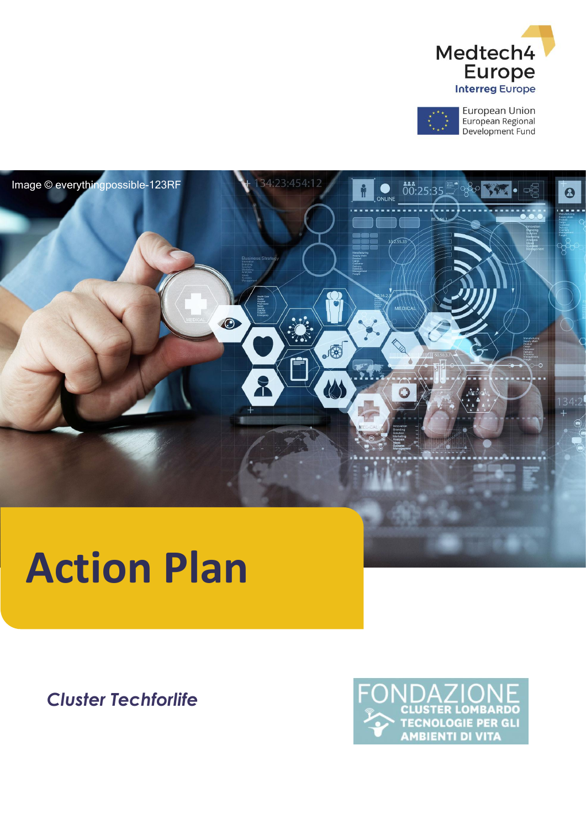

European Union<br>European Regional Development Fund



# **Action Plan**

**Cluster Techforlife** 

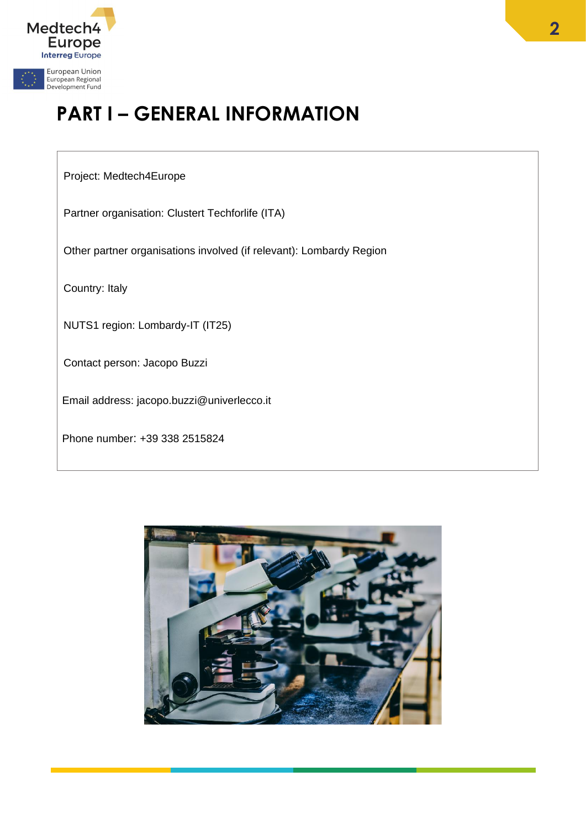

# **PART I – GENERAL INFORMATION**

#### Project: Medtech4Europe

Partner organisation: Clustert Techforlife (ITA)

Other partner organisations involved (if relevant): Lombardy Region

Country: Italy

NUTS1 region: Lombardy-IT (IT25)

Contact person: Jacopo Buzzi

Email address: jacopo.buzzi@univerlecco.it

Phone number: +39 338 2515824

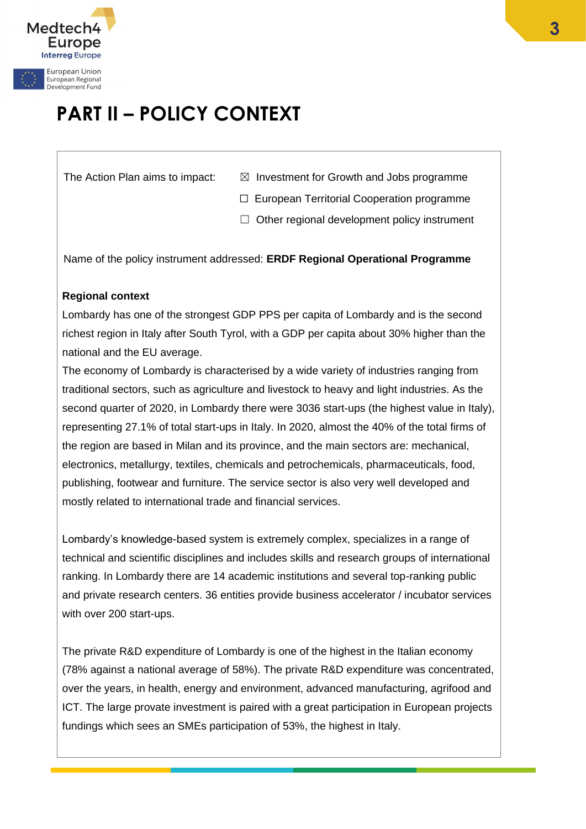

# **PART II – POLICY CONTEXT**

- The Action Plan aims to impact:  $\boxtimes$  Investment for Growth and Jobs programme
	- ☐ European Territorial Cooperation programme
	- $\Box$  Other regional development policy instrument

Name of the policy instrument addressed: **ERDF Regional Operational Programme**

## **Regional context**

Lombardy has one of the strongest GDP PPS per capita of Lombardy and is the second richest region in Italy after South Tyrol, with a GDP per capita about 30% higher than the national and the EU average.

The economy of Lombardy is characterised by a wide variety of industries ranging from traditional sectors, such as agriculture and livestock to heavy and light industries. As the second quarter of 2020, in Lombardy there were 3036 start-ups (the highest value in Italy), representing 27.1% of total start-ups in Italy. In 2020, almost the 40% of the total firms of the region are based in Milan and its province, and the main sectors are: mechanical, electronics, metallurgy, textiles, chemicals and petrochemicals, pharmaceuticals, food, publishing, footwear and furniture. The service sector is also very well developed and mostly related to international trade and financial services.

Lombardy's knowledge-based system is extremely complex, specializes in a range of technical and scientific disciplines and includes skills and research groups of international ranking. In Lombardy there are 14 academic institutions and several top-ranking public and private research centers. 36 entities provide business accelerator / incubator services with over 200 start-ups.

The private R&D expenditure of Lombardy is one of the highest in the Italian economy (78% against a national average of 58%). The private R&D expenditure was concentrated, over the years, in health, energy and environment, advanced manufacturing, agrifood and ICT. The large provate investment is paired with a great participation in European projects fundings which sees an SMEs participation of 53%, the highest in Italy.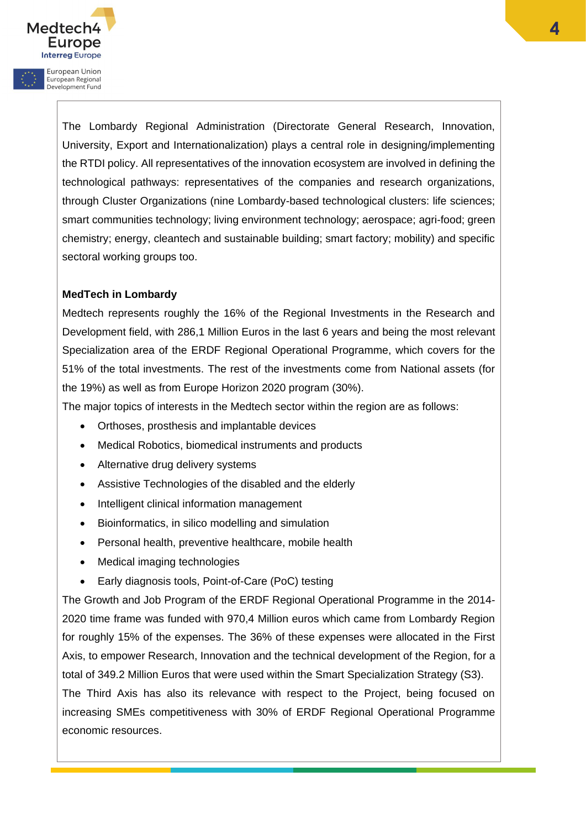

European Regional Development Fund

> The Lombardy Regional Administration (Directorate General Research, Innovation, University, Export and Internationalization) plays a central role in designing/implementing the RTDI policy. All representatives of the innovation ecosystem are involved in defining the technological pathways: representatives of the companies and research organizations, through Cluster Organizations (nine Lombardy-based technological clusters: life sciences; smart communities technology; living environment technology; aerospace; agri-food; green chemistry; energy, cleantech and sustainable building; smart factory; mobility) and specific sectoral working groups too.

## **MedTech in Lombardy**

Medtech represents roughly the 16% of the Regional Investments in the Research and Development field, with 286,1 Million Euros in the last 6 years and being the most relevant Specialization area of the ERDF Regional Operational Programme, which covers for the 51% of the total investments. The rest of the investments come from National assets (for the 19%) as well as from Europe Horizon 2020 program (30%).

The major topics of interests in the Medtech sector within the region are as follows:

- Orthoses, prosthesis and implantable devices
- Medical Robotics, biomedical instruments and products
- Alternative drug delivery systems
- Assistive Technologies of the disabled and the elderly
- Intelligent clinical information management
- Bioinformatics, in silico modelling and simulation
- Personal health, preventive healthcare, mobile health
- Medical imaging technologies
- Early diagnosis tools, Point-of-Care (PoC) testing

The Growth and Job Program of the ERDF Regional Operational Programme in the 2014- 2020 time frame was funded with 970,4 Million euros which came from Lombardy Region for roughly 15% of the expenses. The 36% of these expenses were allocated in the First Axis, to empower Research, Innovation and the technical development of the Region, for a total of 349.2 Million Euros that were used within the Smart Specialization Strategy (S3). The Third Axis has also its relevance with respect to the Project, being focused on increasing SMEs competitiveness with 30% of ERDF Regional Operational Programme economic resources.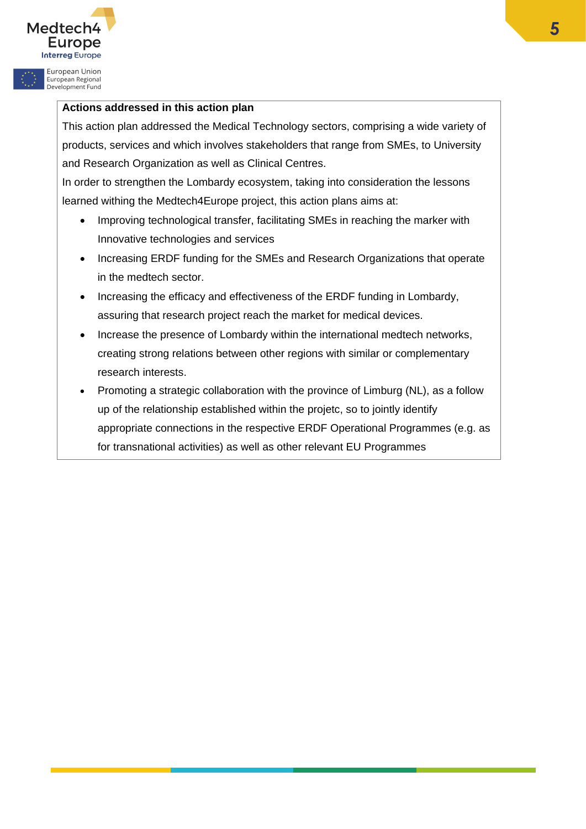

European Regional<br>Development Fund

#### **Actions addressed in this action plan**

This action plan addressed the Medical Technology sectors, comprising a wide variety of products, services and which involves stakeholders that range from SMEs, to University and Research Organization as well as Clinical Centres.

In order to strengthen the Lombardy ecosystem, taking into consideration the lessons learned withing the Medtech4Europe project, this action plans aims at:

- Improving technological transfer, facilitating SMEs in reaching the marker with Innovative technologies and services
- Increasing ERDF funding for the SMEs and Research Organizations that operate in the medtech sector.
- Increasing the efficacy and effectiveness of the ERDF funding in Lombardy, assuring that research project reach the market for medical devices.
- Increase the presence of Lombardy within the international medtech networks, creating strong relations between other regions with similar or complementary research interests.
- Promoting a strategic collaboration with the province of Limburg (NL), as a follow up of the relationship established within the projetc, so to jointly identify appropriate connections in the respective ERDF Operational Programmes (e.g. as for transnational activities) as well as other relevant EU Programmes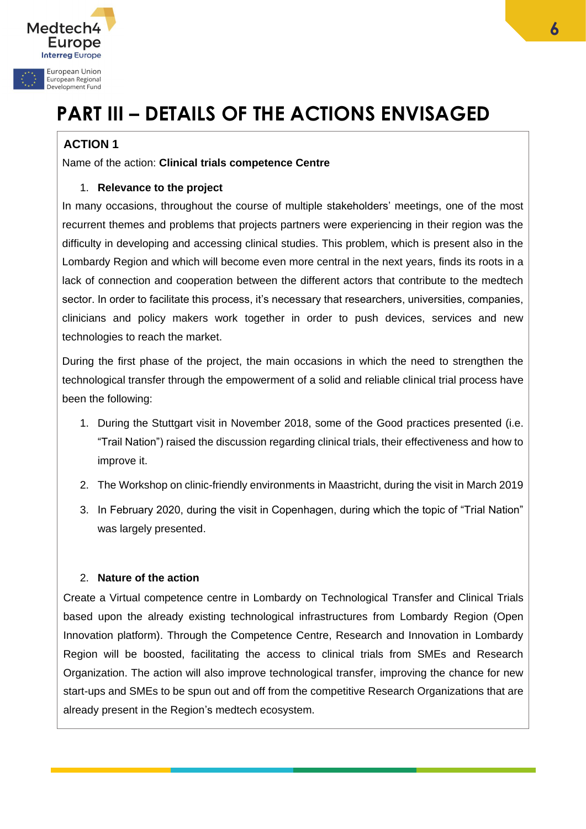

# **PART III – DETAILS OF THE ACTIONS ENVISAGED**

# **ACTION 1**

Name of the action: **Clinical trials competence Centre**

# 1. **Relevance to the project**

In many occasions, throughout the course of multiple stakeholders' meetings, one of the most recurrent themes and problems that projects partners were experiencing in their region was the difficulty in developing and accessing clinical studies. This problem, which is present also in the Lombardy Region and which will become even more central in the next years, finds its roots in a lack of connection and cooperation between the different actors that contribute to the medtech sector. In order to facilitate this process, it's necessary that researchers, universities, companies, clinicians and policy makers work together in order to push devices, services and new technologies to reach the market.

During the first phase of the project, the main occasions in which the need to strengthen the technological transfer through the empowerment of a solid and reliable clinical trial process have been the following:

- 1. During the Stuttgart visit in November 2018, some of the Good practices presented (i.e. "Trail Nation") raised the discussion regarding clinical trials, their effectiveness and how to improve it.
- 2. The Workshop on clinic-friendly environments in Maastricht, during the visit in March 2019
- 3. In February 2020, during the visit in Copenhagen, during which the topic of "Trial Nation" was largely presented.

# 2. **Nature of the action**

Create a Virtual competence centre in Lombardy on Technological Transfer and Clinical Trials based upon the already existing technological infrastructures from Lombardy Region (Open Innovation platform). Through the Competence Centre, Research and Innovation in Lombardy Region will be boosted, facilitating the access to clinical trials from SMEs and Research Organization. The action will also improve technological transfer, improving the chance for new start-ups and SMEs to be spun out and off from the competitive Research Organizations that are already present in the Region's medtech ecosystem.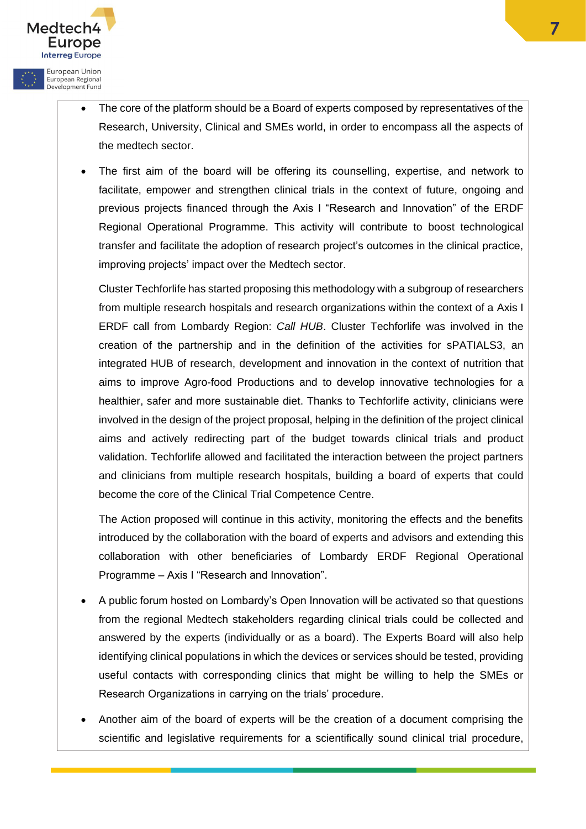

Medtech<sup>2</sup>

Europe **Interreg Europe** European Union European Regional<br>Development Fund

> The first aim of the board will be offering its counselling, expertise, and network to facilitate, empower and strengthen clinical trials in the context of future, ongoing and previous projects financed through the Axis I "Research and Innovation" of the ERDF Regional Operational Programme. This activity will contribute to boost technological transfer and facilitate the adoption of research project's outcomes in the clinical practice, improving projects' impact over the Medtech sector.

Cluster Techforlife has started proposing this methodology with a subgroup of researchers from multiple research hospitals and research organizations within the context of a Axis I ERDF call from Lombardy Region: *Call HUB*. Cluster Techforlife was involved in the creation of the partnership and in the definition of the activities for sPATIALS3, an integrated HUB of research, development and innovation in the context of nutrition that aims to improve Agro-food Productions and to develop innovative technologies for a healthier, safer and more sustainable diet. Thanks to Techforlife activity, clinicians were involved in the design of the project proposal, helping in the definition of the project clinical aims and actively redirecting part of the budget towards clinical trials and product validation. Techforlife allowed and facilitated the interaction between the project partners and clinicians from multiple research hospitals, building a board of experts that could become the core of the Clinical Trial Competence Centre.

The Action proposed will continue in this activity, monitoring the effects and the benefits introduced by the collaboration with the board of experts and advisors and extending this collaboration with other beneficiaries of Lombardy ERDF Regional Operational Programme – Axis I "Research and Innovation".

- A public forum hosted on Lombardy's Open Innovation will be activated so that questions from the regional Medtech stakeholders regarding clinical trials could be collected and answered by the experts (individually or as a board). The Experts Board will also help identifying clinical populations in which the devices or services should be tested, providing useful contacts with corresponding clinics that might be willing to help the SMEs or Research Organizations in carrying on the trials' procedure.
- Another aim of the board of experts will be the creation of a document comprising the scientific and legislative requirements for a scientifically sound clinical trial procedure,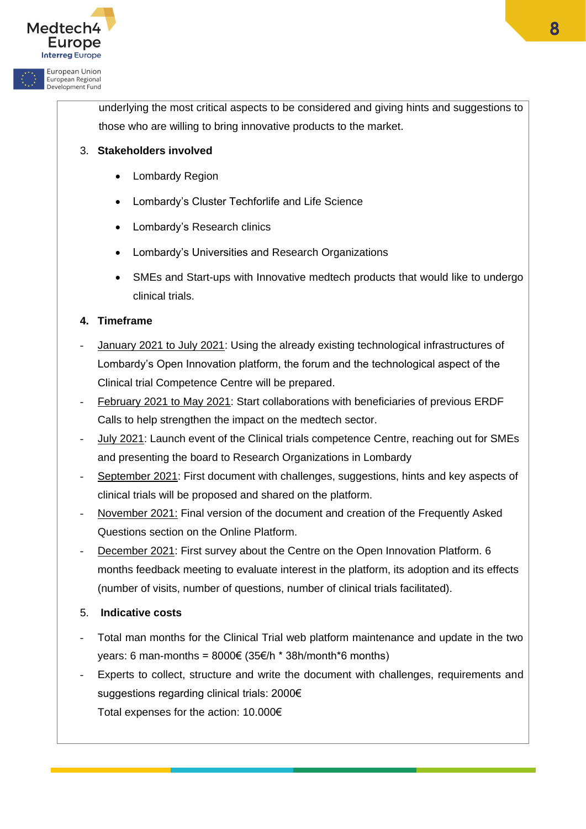

European Regional<br>Development Fund

underlying the most critical aspects to be considered and giving hints and suggestions to those who are willing to bring innovative products to the market.

# 3. **Stakeholders involved**

- Lombardy Region
- Lombardy's Cluster Techforlife and Life Science
- Lombardy's Research clinics
- Lombardy's Universities and Research Organizations
- SMEs and Start-ups with Innovative medtech products that would like to undergo clinical trials.

# **4. Timeframe**

- *-* January 2021 to July 2021: Using the already existing technological infrastructures of Lombardy's Open Innovation platform, the forum and the technological aspect of the Clinical trial Competence Centre will be prepared.
- *-* February 2021 to May 2021: Start collaborations with beneficiaries of previous ERDF Calls to help strengthen the impact on the medtech sector.
- *-* July 2021: Launch event of the Clinical trials competence Centre, reaching out for SMEs and presenting the board to Research Organizations in Lombardy
- *-* September 2021: First document with challenges, suggestions, hints and key aspects of clinical trials will be proposed and shared on the platform.
- *-* November 2021: Final version of the document and creation of the Frequently Asked Questions section on the Online Platform.
- *-* December 2021: First survey about the Centre on the Open Innovation Platform. 6 months feedback meeting to evaluate interest in the platform, its adoption and its effects (number of visits, number of questions, number of clinical trials facilitated).
- 5. **Indicative costs**
- *-* Total man months for the Clinical Trial web platform maintenance and update in the two years: 6 man-months =  $8000 \in (35 \in /h * 38h/m$ onth\*6 months)
- *-* Experts to collect, structure and write the document with challenges, requirements and suggestions regarding clinical trials: 2000€ Total expenses for the action: 10.000€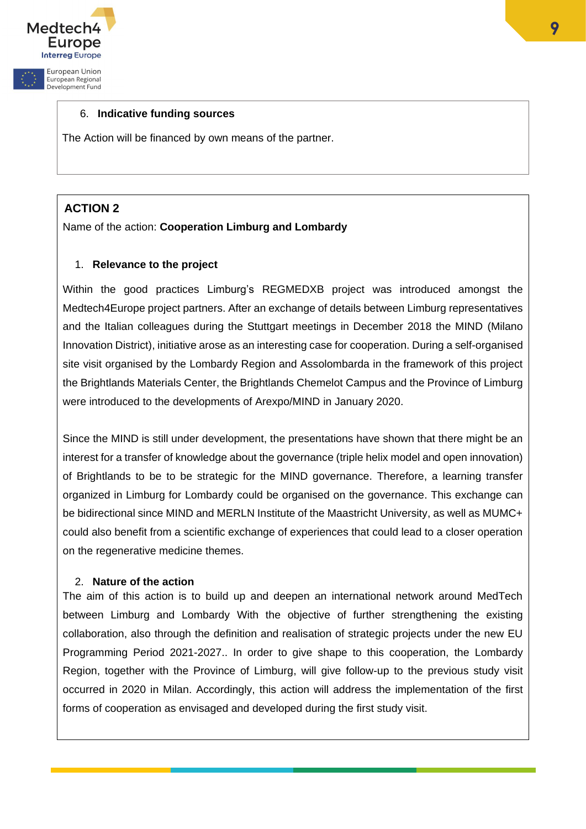

European Regional Development Fund

#### 6. **Indicative funding sources**

The Action will be financed by own means of the partner.

# **ACTION 2**

#### Name of the action: **Cooperation Limburg and Lombardy**

#### 1. **Relevance to the project**

Within the good practices Limburg's REGMEDXB project was introduced amongst the Medtech4Europe project partners. After an exchange of details between Limburg representatives and the Italian colleagues during the Stuttgart meetings in December 2018 the MIND (Milano Innovation District), initiative arose as an interesting case for cooperation. During a self-organised site visit organised by the Lombardy Region and Assolombarda in the framework of this project the Brightlands Materials Center, the Brightlands Chemelot Campus and the Province of Limburg were introduced to the developments of Arexpo/MIND in January 2020.

Since the MIND is still under development, the presentations have shown that there might be an interest for a transfer of knowledge about the governance (triple helix model and open innovation) of Brightlands to be to be strategic for the MIND governance. Therefore, a learning transfer organized in Limburg for Lombardy could be organised on the governance. This exchange can be bidirectional since MIND and MERLN Institute of the Maastricht University, as well as MUMC+ could also benefit from a scientific exchange of experiences that could lead to a closer operation on the regenerative medicine themes.

#### 2. **Nature of the action**

The aim of this action is to build up and deepen an international network around MedTech between Limburg and Lombardy With the objective of further strengthening the existing collaboration, also through the definition and realisation of strategic projects under the new EU Programming Period 2021-2027.. In order to give shape to this cooperation, the Lombardy Region, together with the Province of Limburg, will give follow-up to the previous study visit occurred in 2020 in Milan. Accordingly, this action will address the implementation of the first forms of cooperation as envisaged and developed during the first study visit.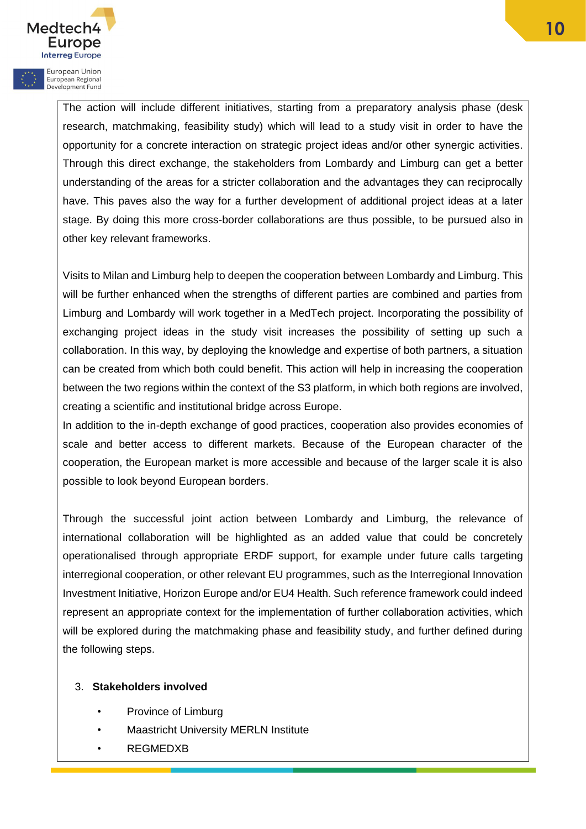

European Regional Development Fund

> The action will include different initiatives, starting from a preparatory analysis phase (desk research, matchmaking, feasibility study) which will lead to a study visit in order to have the opportunity for a concrete interaction on strategic project ideas and/or other synergic activities. Through this direct exchange, the stakeholders from Lombardy and Limburg can get a better understanding of the areas for a stricter collaboration and the advantages they can reciprocally have. This paves also the way for a further development of additional project ideas at a later stage. By doing this more cross-border collaborations are thus possible, to be pursued also in other key relevant frameworks.

> Visits to Milan and Limburg help to deepen the cooperation between Lombardy and Limburg. This will be further enhanced when the strengths of different parties are combined and parties from Limburg and Lombardy will work together in a MedTech project. Incorporating the possibility of exchanging project ideas in the study visit increases the possibility of setting up such a collaboration. In this way, by deploying the knowledge and expertise of both partners, a situation can be created from which both could benefit. This action will help in increasing the cooperation between the two regions within the context of the S3 platform, in which both regions are involved, creating a scientific and institutional bridge across Europe.

> In addition to the in-depth exchange of good practices, cooperation also provides economies of scale and better access to different markets. Because of the European character of the cooperation, the European market is more accessible and because of the larger scale it is also possible to look beyond European borders.

> Through the successful joint action between Lombardy and Limburg, the relevance of international collaboration will be highlighted as an added value that could be concretely operationalised through appropriate ERDF support, for example under future calls targeting interregional cooperation, or other relevant EU programmes, such as the Interregional Innovation Investment Initiative, Horizon Europe and/or EU4 Health. Such reference framework could indeed represent an appropriate context for the implementation of further collaboration activities, which will be explored during the matchmaking phase and feasibility study, and further defined during the following steps.

#### 3. **Stakeholders involved**

- Province of Limburg
- Maastricht University MERLN Institute
- REGMEDXB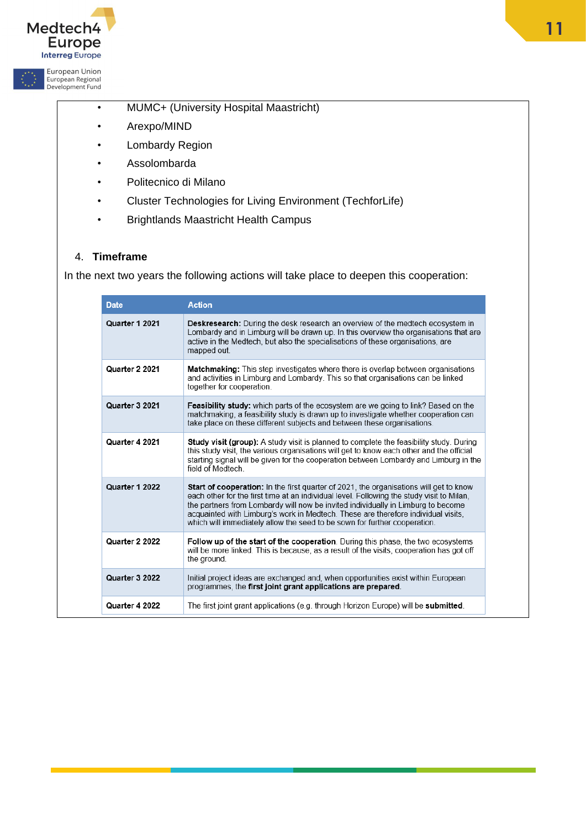

European Regional<br>Development Fund

- MUMC+ (University Hospital Maastricht)
- Arexpo/MIND
- Lombardy Region
- Assolombarda
- Politecnico di Milano
- Cluster Technologies for Living Environment (TechforLife)
- Brightlands Maastricht Health Campus

#### 4. **Timeframe**

In the next two years the following actions will take place to deepen this cooperation:

| <b>Date</b>    | <b>Action</b>                                                                                                                                                                                                                                                                                                                                                                                                                                    |
|----------------|--------------------------------------------------------------------------------------------------------------------------------------------------------------------------------------------------------------------------------------------------------------------------------------------------------------------------------------------------------------------------------------------------------------------------------------------------|
| Quarter 1 2021 | <b>Deskresearch:</b> During the desk research an overview of the medtech ecosystem in<br>Lombardy and in Limburg will be drawn up. In this overview the organisations that are<br>active in the Medtech, but also the specialisations of these organisations, are<br>mapped out.                                                                                                                                                                 |
| Quarter 2 2021 | <b>Matchmaking:</b> This step investigates where there is overlap between organisations<br>and activities in Limburg and Lombardy. This so that organisations can be linked<br>together for cooperation.                                                                                                                                                                                                                                         |
| Quarter 3 2021 | <b>Feasibility study:</b> which parts of the ecosystem are we going to link? Based on the<br>matchmaking, a feasibility study is drawn up to investigate whether cooperation can<br>take place on these different subjects and between these organisations.                                                                                                                                                                                      |
| Quarter 4 2021 | <b>Study visit (group):</b> A study visit is planned to complete the feasibility study. During<br>this study visit, the various organisations will get to know each other and the official<br>starting signal will be given for the cooperation between Lombardy and Limburg in the<br>field of Medtech                                                                                                                                          |
| Quarter 1 2022 | <b>Start of cooperation:</b> In the first quarter of 2021, the organisations will get to know<br>each other for the first time at an individual level. Following the study visit to Milan,<br>the partners from Lombardy will now be invited individually in Limburg to become<br>acquainted with Limburg's work in Medtech. These are therefore individual visits.<br>which will immediately allow the seed to be sown for further cooperation. |
| Quarter 2 2022 | <b>Follow up of the start of the cooperation.</b> During this phase, the two ecosystems<br>will be more linked. This is because, as a result of the visits, cooperation has got off<br>the ground.                                                                                                                                                                                                                                               |
| Quarter 3 2022 | Initial project ideas are exchanged and, when opportunities exist within European<br>programmes, the first joint grant applications are prepared.                                                                                                                                                                                                                                                                                                |
| Quarter 4 2022 | The first joint grant applications (e.g. through Horizon Europe) will be <b>submitted</b> .                                                                                                                                                                                                                                                                                                                                                      |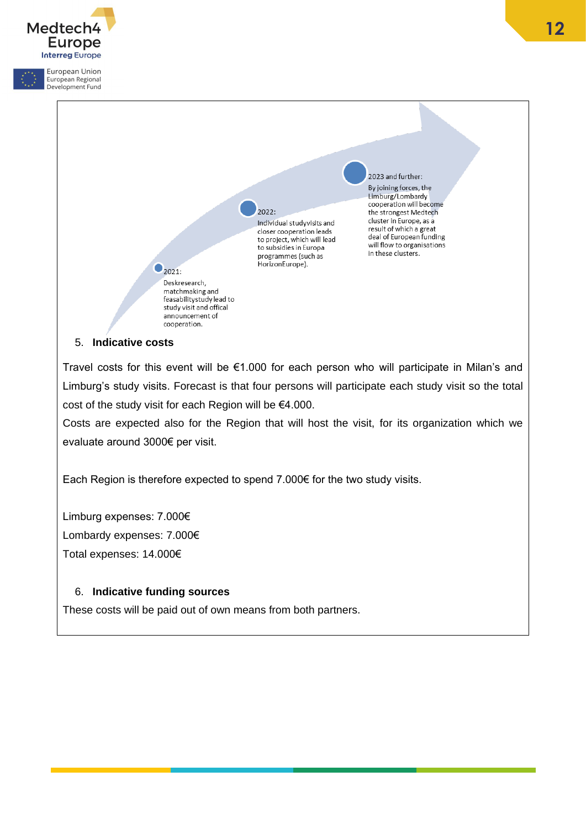

5. **Indicative costs**

Travel costs for this event will be €1.000 for each person who will participate in Milan's and Limburg's study visits. Forecast is that four persons will participate each study visit so the total cost of the study visit for each Region will be €4.000.

Costs are expected also for the Region that will host the visit, for its organization which we evaluate around 3000€ per visit.

Each Region is therefore expected to spend 7.000€ for the two study visits.

Limburg expenses: 7.000€ Lombardy expenses: 7.000€ Total expenses: 14.000€

# 6. **Indicative funding sources**

These costs will be paid out of own means from both partners.